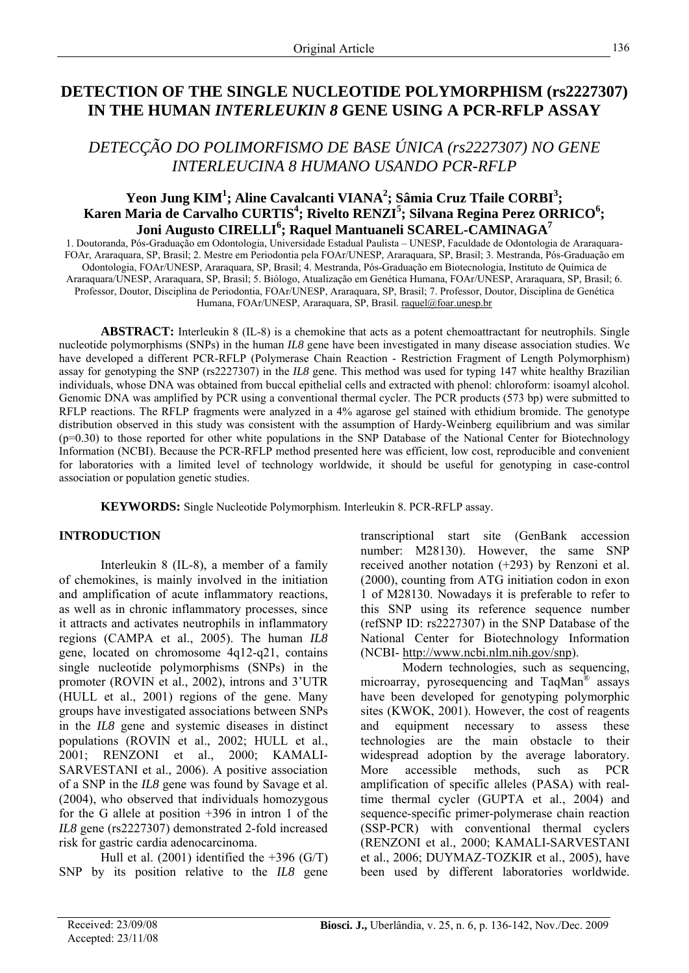# **DETECTION OF THE SINGLE NUCLEOTIDE POLYMORPHISM (rs2227307) IN THE HUMAN** *INTERLEUKIN 8* **GENE USING A PCR-RFLP ASSAY**

# *DETECÇÃO DO POLIMORFISMO DE BASE ÚNICA (rs2227307) NO GENE INTERLEUCINA 8 HUMANO USANDO PCR-RFLP*

## Yeon Jung KIM<sup>1</sup>; Aline Cavalcanti VIANA<sup>2</sup>; Sâmia Cruz Tfaile CORBI<sup>3</sup>; Karen Maria de Carvalho CURTIS<sup>4</sup>; Rivelto RENZI<sup>5</sup>; Silvana Regina Perez ORRICO<sup>6</sup>; **Joni Augusto CIRELLI<sup>6</sup> ; Raquel Mantuaneli SCAREL-CAMINAGA7**

1. Doutoranda, Pós-Graduação em Odontologia, Universidade Estadual Paulista – UNESP, Faculdade de Odontologia de Araraquara-FOAr, Araraquara, SP, Brasil; 2. Mestre em Periodontia pela FOAr/UNESP, Araraquara, SP, Brasil; 3. Mestranda, Pós-Graduação em Odontologia, FOAr/UNESP, Araraquara, SP, Brasil; 4. Mestranda, Pós-Graduação em Biotecnologia, Instituto de Química de Araraquara/UNESP, Araraquara, SP, Brasil; 5. Biólogo, Atualização em Genética Humana, FOAr/UNESP, Araraquara, SP, Brasil; 6. Professor, Doutor, Disciplina de Periodontia, FOAr/UNESP, Araraquara, SP, Brasil; 7. Professor, Doutor, Disciplina de Genética Humana, FOAr/UNESP, Araraquara, SP, Brasil. [raquel@foar.unesp.br](mailto:raquel@foar.unesp.br)

**ABSTRACT:** Interleukin 8 (IL-8) is a chemokine that acts as a potent chemoattractant for neutrophils. Single nucleotide polymorphisms (SNPs) in the human *IL8* gene have been investigated in many disease association studies. We have developed a different PCR-RFLP (Polymerase Chain Reaction - Restriction Fragment of Length Polymorphism) assay for genotyping the SNP (rs2227307) in the *IL8* gene. This method was used for typing 147 white healthy Brazilian individuals, whose DNA was obtained from buccal epithelial cells and extracted with phenol: chloroform: isoamyl alcohol. Genomic DNA was amplified by PCR using a conventional thermal cycler. The PCR products (573 bp) were submitted to RFLP reactions. The RFLP fragments were analyzed in a 4% agarose gel stained with ethidium bromide. The genotype distribution observed in this study was consistent with the assumption of Hardy-Weinberg equilibrium and was similar (p=0.30) to those reported for other white populations in the SNP Database of the National Center for Biotechnology Information (NCBI). Because the PCR-RFLP method presented here was efficient, low cost, reproducible and convenient for laboratories with a limited level of technology worldwide, it should be useful for genotyping in case-control association or population genetic studies.

**KEYWORDS:** Single Nucleotide Polymorphism. Interleukin 8. PCR-RFLP assay.

## **INTRODUCTION**

Interleukin 8 (IL-8), a member of a family of chemokines, is mainly involved in the initiation and amplification of acute inflammatory reactions, as well as in chronic inflammatory processes, since it attracts and activates neutrophils in inflammatory regions (CAMPA et al., 2005). The human *IL8*  gene, located on chromosome 4q12-q21, contains single nucleotide polymorphisms (SNPs) in the promoter (ROVIN et al., 2002), introns and 3'UTR (HULL et al., 2001) regions of the gene. Many groups have investigated associations between SNPs in the *IL8* gene and systemic diseases in distinct populations (ROVIN et al., 2002; HULL et al., 2001; RENZONI et al., 2000; KAMALI-SARVESTANI et al., 2006). A positive association of a SNP in the *IL8* gene was found by Savage et al. (2004), who observed that individuals homozygous for the G allele at position +396 in intron 1 of the *IL8* gene (rs2227307) demonstrated 2-fold increased risk for gastric cardia adenocarcinoma.

Hull et al.  $(2001)$  identified the +396  $(G/T)$ SNP by its position relative to the *IL8* gene

transcriptional start site (GenBank accession number: M28130). However, the same SNP received another notation (+293) by Renzoni et al. (2000), counting from ATG initiation codon in exon 1 of M28130. Nowadays it is preferable to refer to this SNP using its reference sequence number (refSNP ID: rs2227307) in the SNP Database of the National Center for Biotechnology Information (NCBI-<http://www.ncbi.nlm.nih.gov/snp>).

Modern technologies, such as sequencing, microarray, pyrosequencing and TaqMan® assays have been developed for genotyping polymorphic sites (KWOK, 2001). However, the cost of reagents and equipment necessary to assess these technologies are the main obstacle to their widespread adoption by the average laboratory. More accessible methods, such as PCR amplification of specific alleles (PASA) with realtime thermal cycler (GUPTA et al., 2004) and sequence-specific primer-polymerase chain reaction (SSP-PCR) with conventional thermal cyclers (RENZONI et al., 2000; KAMALI-SARVESTANI et al., 2006; DUYMAZ-TOZKIR et al., 2005), have been used by different laboratories worldwide.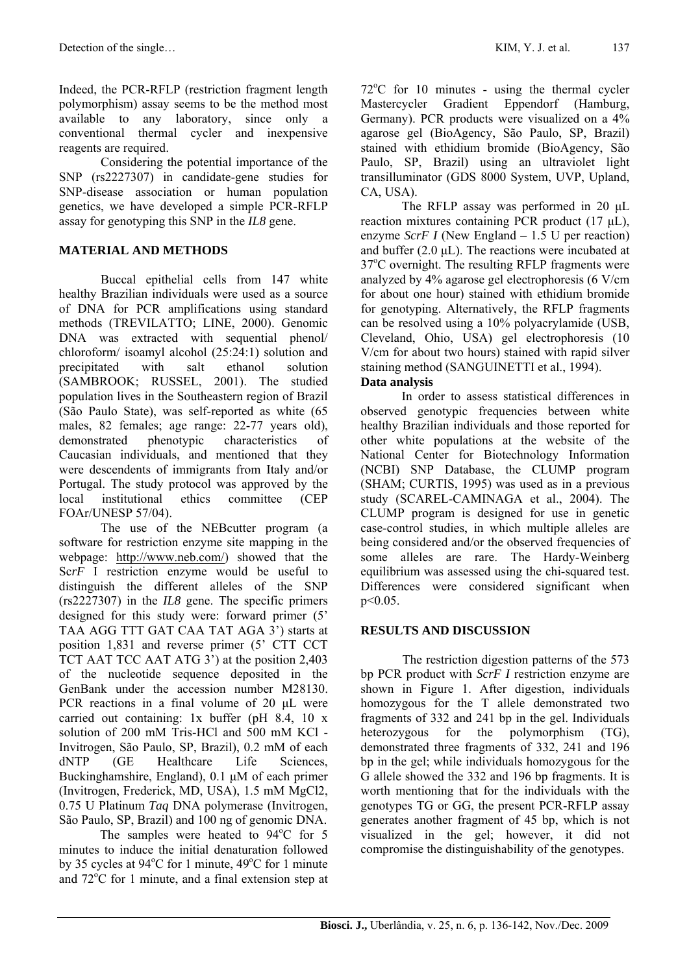Indeed, the PCR-RFLP (restriction fragment length polymorphism) assay seems to be the method most available to any laboratory, since only a conventional thermal cycler and inexpensive reagents are required.

Considering the potential importance of the SNP (rs2227307) in candidate-gene studies for SNP-disease association or human population genetics, we have developed a simple PCR-RFLP assay for genotyping this SNP in the *IL8* gene.

### **MATERIAL AND METHODS**

Buccal epithelial cells from 147 white healthy Brazilian individuals were used as a source of DNA for PCR amplifications using standard methods (TREVILATTO; LINE, 2000). Genomic DNA was extracted with sequential phenol/ chloroform/ isoamyl alcohol (25:24:1) solution and precipitated with salt ethanol solution (SAMBROOK; RUSSEL, 2001). The studied population lives in the Southeastern region of Brazil (São Paulo State), was self-reported as white (65 males, 82 females; age range: 22-77 years old), demonstrated phenotypic characteristics of Caucasian individuals, and mentioned that they were descendents of immigrants from Italy and/or Portugal. The study protocol was approved by the local institutional ethics committee (CEP FOAr/UNESP 57/04).

The use of the NEBcutter program (a software for restriction enzyme site mapping in the webpage: <http://www.neb.com/>) showed that the Sc*rF* I restriction enzyme would be useful to distinguish the different alleles of the SNP (rs2227307) in the *IL8* gene. The specific primers designed for this study were: forward primer (5' TAA AGG TTT GAT CAA TAT AGA 3') starts at position 1,831 and reverse primer (5' CTT CCT TCT AAT TCC AAT ATG 3') at the position 2,403 of the nucleotide sequence deposited in the GenBank under the accession number M28130. PCR reactions in a final volume of 20 μL were carried out containing: 1x buffer (pH 8.4, 10 x solution of 200 mM Tris-HCl and 500 mM KCl - Invitrogen, São Paulo, SP, Brazil), 0.2 mM of each dNTP (GE Healthcare Life Sciences, Buckinghamshire, England), 0.1 μM of each primer (Invitrogen, Frederick, MD, USA), 1.5 mM MgCl2, 0.75 U Platinum *Taq* DNA polymerase (Invitrogen, São Paulo, SP, Brazil) and 100 ng of genomic DNA.

The samples were heated to  $94^{\circ}$ C for 5 minutes to induce the initial denaturation followed by 35 cycles at  $94^{\circ}$ C for 1 minute,  $49^{\circ}$ C for 1 minute and  $72^{\circ}$ C for 1 minute, and a final extension step at

72°C for 10 minutes - using the thermal cycler Mastercycler Gradient Eppendorf (Hamburg, Germany). PCR products were visualized on a 4% agarose gel (BioAgency, São Paulo, SP, Brazil) stained with ethidium bromide (BioAgency, São Paulo, SP, Brazil) using an ultraviolet light transilluminator (GDS 8000 System, UVP, Upland, CA, USA).

The RFLP assay was performed in 20 μL reaction mixtures containing PCR product (17 μL), enzyme *ScrF I* (New England – 1.5 U per reaction) and buffer (2.0 μL). The reactions were incubated at 37°C overnight. The resulting RFLP fragments were analyzed by 4% agarose gel electrophoresis (6 V/cm for about one hour) stained with ethidium bromide for genotyping. Alternatively, the RFLP fragments can be resolved using a 10% polyacrylamide (USB, Cleveland, Ohio, USA) gel electrophoresis (10 V/cm for about two hours) stained with rapid silver staining method (SANGUINETTI et al., 1994).

# **Data analysis**

In order to assess statistical differences in observed genotypic frequencies between white healthy Brazilian individuals and those reported for other white populations at the website of the National Center for Biotechnology Information (NCBI) SNP Database, the CLUMP program (SHAM; CURTIS, 1995) was used as in a previous study (SCAREL-CAMINAGA et al., 2004). The CLUMP program is designed for use in genetic case-control studies, in which multiple alleles are being considered and/or the observed frequencies of some alleles are rare. The Hardy-Weinberg equilibrium was assessed using the chi-squared test. Differences were considered significant when p<0.05.

### **RESULTS AND DISCUSSION**

The restriction digestion patterns of the 573 bp PCR product with *ScrF I* restriction enzyme are shown in Figure 1. After digestion, individuals homozygous for the T allele demonstrated two fragments of 332 and 241 bp in the gel. Individuals heterozygous for the polymorphism (TG), demonstrated three fragments of 332, 241 and 196 bp in the gel; while individuals homozygous for the G allele showed the 332 and 196 bp fragments. It is worth mentioning that for the individuals with the genotypes TG or GG, the present PCR-RFLP assay generates another fragment of 45 bp, which is not visualized in the gel; however, it did not compromise the distinguishability of the genotypes.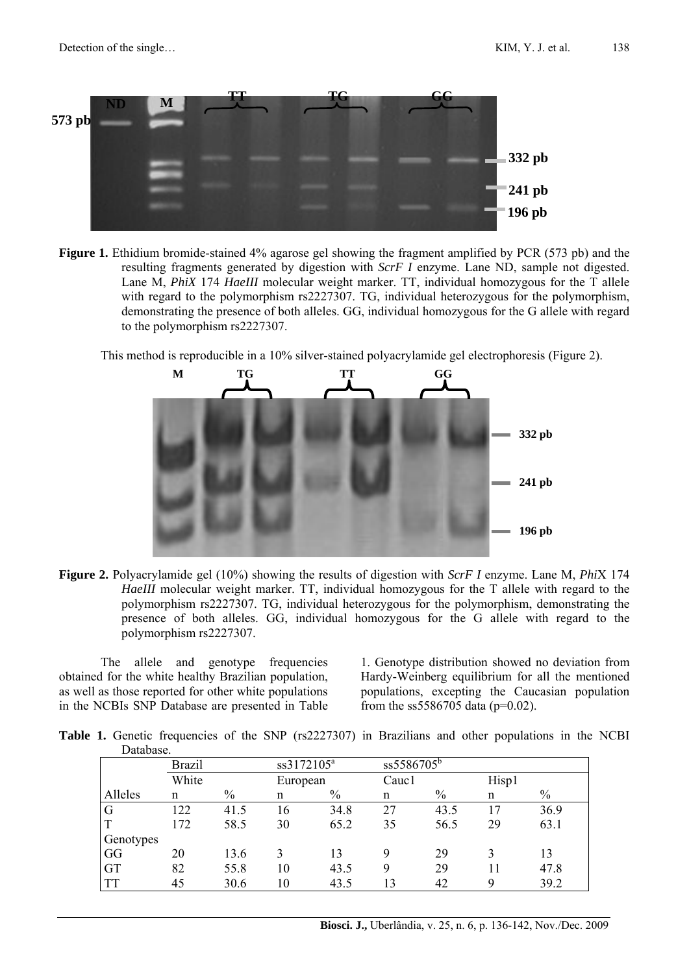

**Figure 1.** Ethidium bromide-stained 4% agarose gel showing the fragment amplified by PCR (573 pb) and the resulting fragments generated by digestion with *ScrF I* enzyme. Lane ND, sample not digested. Lane M, *PhiX* 174 *HaeIII* molecular weight marker. TT, individual homozygous for the T allele with regard to the polymorphism rs2227307. TG, individual heterozygous for the polymorphism, demonstrating the presence of both alleles. GG, individual homozygous for the G allele with regard to the polymorphism rs2227307.

This method is reproducible in a 10% silver-stained polyacrylamide gel electrophoresis (Figure 2).



**Figure 2.** Polyacrylamide gel (10%) showing the results of digestion with *ScrF I* enzyme. Lane M, *Phi*X 174 *HaeIII* molecular weight marker. TT, individual homozygous for the T allele with regard to the polymorphism rs2227307. TG, individual heterozygous for the polymorphism, demonstrating the presence of both alleles. GG, individual homozygous for the G allele with regard to the polymorphism rs2227307.

The allele and genotype frequencies obtained for the white healthy Brazilian population, as well as those reported for other white populations in the NCBIs SNP Database are presented in Table 1. Genotype distribution showed no deviation from Hardy-Weinberg equilibrium for all the mentioned populations, excepting the Caucasian population from the ss5586705 data ( $p=0.02$ ).

**Table 1.** Genetic frequencies of the SNP (rs2227307) in Brazilians and other populations in the NCBI Database.

|             | <b>Brazil</b> |      | ss3172105 <sup>a</sup> |      | $ss5586705^{b}$ |      |       |      |
|-------------|---------------|------|------------------------|------|-----------------|------|-------|------|
|             | White         |      | European               |      | Cauc1           |      | Hisp1 |      |
| Alleles     | n             | $\%$ | n                      | $\%$ | n               | $\%$ | n     | $\%$ |
| G           | 122           | 41.5 | 16                     | 34.8 | 27              | 43.5 | 17    | 36.9 |
| $\mathbf T$ | 172           | 58.5 | 30                     | 65.2 | 35              | 56.5 | 29    | 63.1 |
| Genotypes   |               |      |                        |      |                 |      |       |      |
| GG          | 20            | 13.6 |                        | 13   | 9               | 29   | 3     | 13   |
| <b>GT</b>   | 82            | 55.8 | 10                     | 43.5 | 9               | 29   | 11    | 47.8 |
| <b>TT</b>   | 45            | 30.6 | 10                     | 43.5 | 13              | 42   | 9     | 39.2 |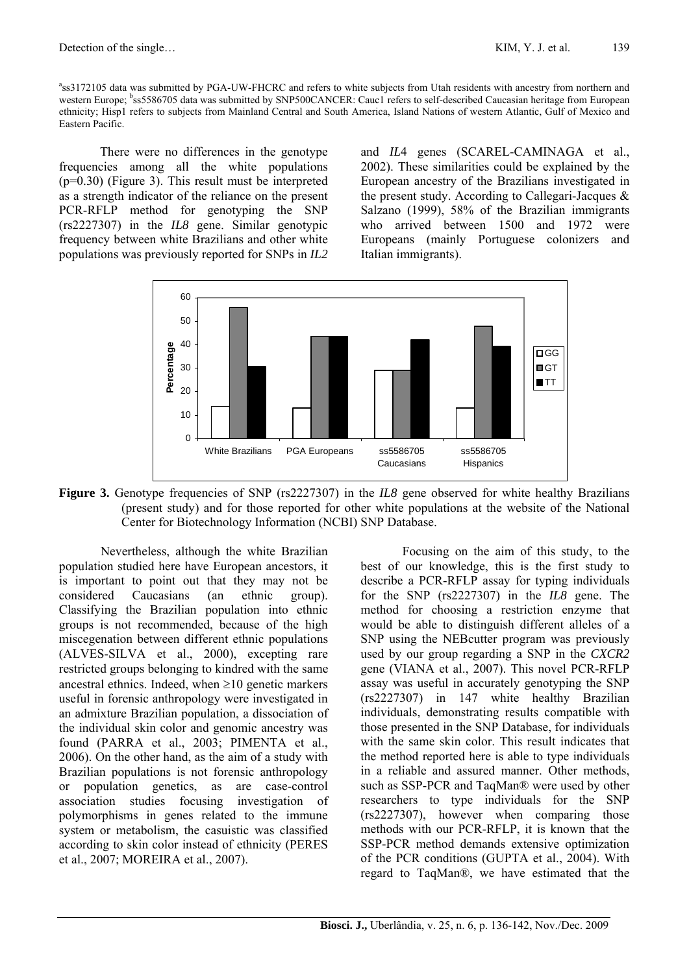a ss3172105 data was submitted by PGA-UW-FHCRC and refers to white subjects from Utah residents with ancestry from northern and western Europe; <sup>b</sup>ss5586705 data was submitted by SNP500CANCER: Cauc1 refers to self-described Caucasian heritage from European ethnicity; Hisp1 refers to subjects from Mainland Central and South America, Island Nations of western Atlantic, Gulf of Mexico and Eastern Pacific.

There were no differences in the genotype frequencies among all the white populations (p=0.30) (Figure 3). This result must be interpreted as a strength indicator of the reliance on the present PCR-RFLP method for genotyping the SNP (rs2227307) in the *IL8* gene. Similar genotypic frequency between white Brazilians and other white populations was previously reported for SNPs in *IL2*

and *IL*4 genes (SCAREL-CAMINAGA et al., 2002). These similarities could be explained by the European ancestry of the Brazilians investigated in the present study. According to Callegari-Jacques & Salzano (1999), 58% of the Brazilian immigrants who arrived between 1500 and 1972 were Europeans (mainly Portuguese colonizers and Italian immigrants).



Figure 3. Genotype frequencies of SNP (rs2227307) in the *IL8* gene observed for white healthy Brazilians (present study) and for those reported for other white populations at the website of the National Center for Biotechnology Information (NCBI) SNP Database.

Nevertheless, although the white Brazilian population studied here have European ancestors, it is important to point out that they may not be considered Caucasians (an ethnic group). Classifying the Brazilian population into ethnic groups is not recommended, because of the high miscegenation between different ethnic populations (ALVES-SILVA et al., 2000), excepting rare restricted groups belonging to kindred with the same ancestral ethnics. Indeed, when  $\geq 10$  genetic markers useful in forensic anthropology were investigated in an admixture Brazilian population, a dissociation of the individual skin color and genomic ancestry was found (PARRA et al., 2003; PIMENTA et al., 2006). On the other hand, as the aim of a study with Brazilian populations is not forensic anthropology or population genetics, as are case-control association studies focusing investigation of polymorphisms in genes related to the immune system or metabolism, the casuistic was classified according to skin color instead of ethnicity (PERES et al., 2007; MOREIRA et al., 2007).

Focusing on the aim of this study, to the best of our knowledge, this is the first study to describe a PCR-RFLP assay for typing individuals for the SNP (rs2227307) in the *IL8* gene. The method for choosing a restriction enzyme that would be able to distinguish different alleles of a SNP using the NEBcutter program was previously used by our group regarding a SNP in the *CXCR2* gene (VIANA et al., 2007). This novel PCR-RFLP assay was useful in accurately genotyping the SNP (rs2227307) in 147 white healthy Brazilian individuals, demonstrating results compatible with those presented in the SNP Database, for individuals with the same skin color. This result indicates that the method reported here is able to type individuals in a reliable and assured manner. Other methods, such as SSP-PCR and TaqMan® were used by other researchers to type individuals for the SNP (rs2227307), however when comparing those methods with our PCR-RFLP, it is known that the SSP-PCR method demands extensive optimization of the PCR conditions (GUPTA et al., 2004). With regard to TaqMan®, we have estimated that the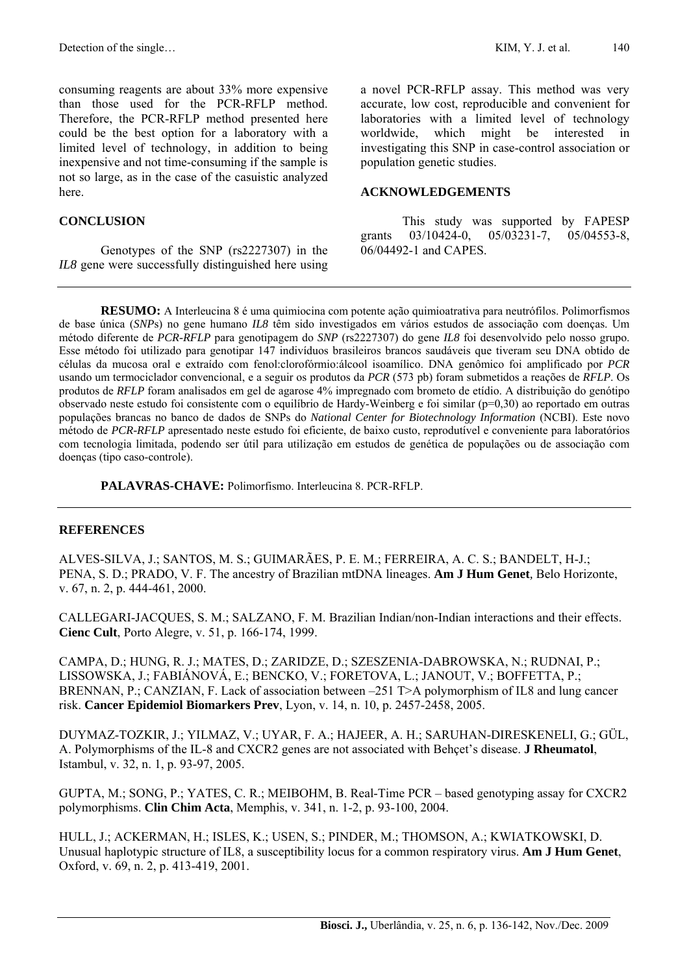consuming reagents are about 33% more expensive than those used for the PCR-RFLP method. Therefore, the PCR-RFLP method presented here could be the best option for a laboratory with a limited level of technology, in addition to being inexpensive and not time-consuming if the sample is not so large, as in the case of the casuistic analyzed here.

#### **CONCLUSION**

Genotypes of the SNP (rs2227307) in the *IL8* gene were successfully distinguished here using a novel PCR-RFLP assay. This method was very accurate, low cost, reproducible and convenient for laboratories with a limited level of technology worldwide, which might be interested in investigating this SNP in case-control association or population genetic studies.

#### **ACKNOWLEDGEMENTS**

This study was supported by FAPESP grants 03/10424-0, 05/03231-7, 05/04553-8, 06/04492-1 and CAPES.

**RESUMO:** A Interleucina 8 é uma quimiocina com potente ação quimioatrativa para neutrófilos. Polimorfismos de base única (*SNP*s) no gene humano *IL8* têm sido investigados em vários estudos de associação com doenças. Um método diferente de *PCR-RFLP* para genotipagem do *SNP* (rs2227307) do gene *IL8* foi desenvolvido pelo nosso grupo. Esse método foi utilizado para genotipar 147 indivíduos brasileiros brancos saudáveis que tiveram seu DNA obtido de células da mucosa oral e extraído com fenol:clorofórmio:álcool isoamílico. DNA genômico foi amplificado por *PCR* usando um termociclador convencional, e a seguir os produtos da *PCR* (573 pb) foram submetidos a reações de *RFLP*. Os produtos de *RFLP* foram analisados em gel de agarose 4% impregnado com brometo de etídio. A distribuição do genótipo observado neste estudo foi consistente com o equilíbrio de Hardy-Weinberg e foi similar (p=0,30) ao reportado em outras populações brancas no banco de dados de SNPs do *National Center for Biotechnology Information* (NCBI). Este novo método de *PCR-RFLP* apresentado neste estudo foi eficiente, de baixo custo, reprodutível e conveniente para laboratórios com tecnologia limitada, podendo ser útil para utilização em estudos de genética de populações ou de associação com doenças (tipo caso-controle).

**PALAVRAS-CHAVE:** Polimorfismo. Interleucina 8. PCR-RFLP.

#### **REFERENCES**

ALVES-SILVA, J.; SANTOS, M. S.; GUIMARÃES, P. E. M.; FERREIRA, A. C. S.; BANDELT, H-J.; PENA, S. D.; PRADO, V. F. The ancestry of Brazilian mtDNA lineages. **Am J Hum Genet***,* Belo Horizonte, v. 67, n. 2, p. 444-461, 2000.

CALLEGARI-JACQUES, S. M.; SALZANO, F. M. Brazilian Indian/non-Indian interactions and their effects. **Cienc Cult**, Porto Alegre, v. 51, p. 166-174, 1999.

CAMPA, D.; HUNG, R. J.; MATES, D.; ZARIDZE, D.; SZESZENIA-DABROWSKA, N.; RUDNAI, P.; LISSOWSKA, J.; FABIÁNOVÁ, E.; BENCKO, V.; FORETOVA, L.; JANOUT, V.; BOFFETTA, P.; BRENNAN, P.: CANZIAN, F. Lack of association between –251 T>A polymorphism of IL8 and lung cancer risk. **Cancer Epidemiol Biomarkers Prev**, Lyon, v. 14, n. 10, p. 2457-2458, 2005.

DUYMAZ-TOZKIR, J.; YILMAZ, V.; UYAR, F. A.; HAJEER, A. H.; SARUHAN-DIRESKENELI, G.; GÜL, A. Polymorphisms of the IL-8 and CXCR2 genes are not associated with Behçet's disease. **J Rheumatol**, Istambul, v. 32, n. 1, p. 93-97, 2005.

GUPTA, M.; SONG, P.; YATES, C. R.; MEIBOHM, B. Real-Time PCR – based genotyping assay for CXCR2 polymorphisms. **Clin Chim Acta**, Memphis, v. 341, n. 1-2, p. 93-100, 2004.

HULL, J.; ACKERMAN, H.; ISLES, K.; USEN, S.; PINDER, M.; THOMSON, A.; KWIATKOWSKI, D. Unusual haplotypic structure of IL8, a susceptibility locus for a common respiratory virus. **Am J Hum Genet**, Oxford, v. 69, n. 2, p. 413-419, 2001.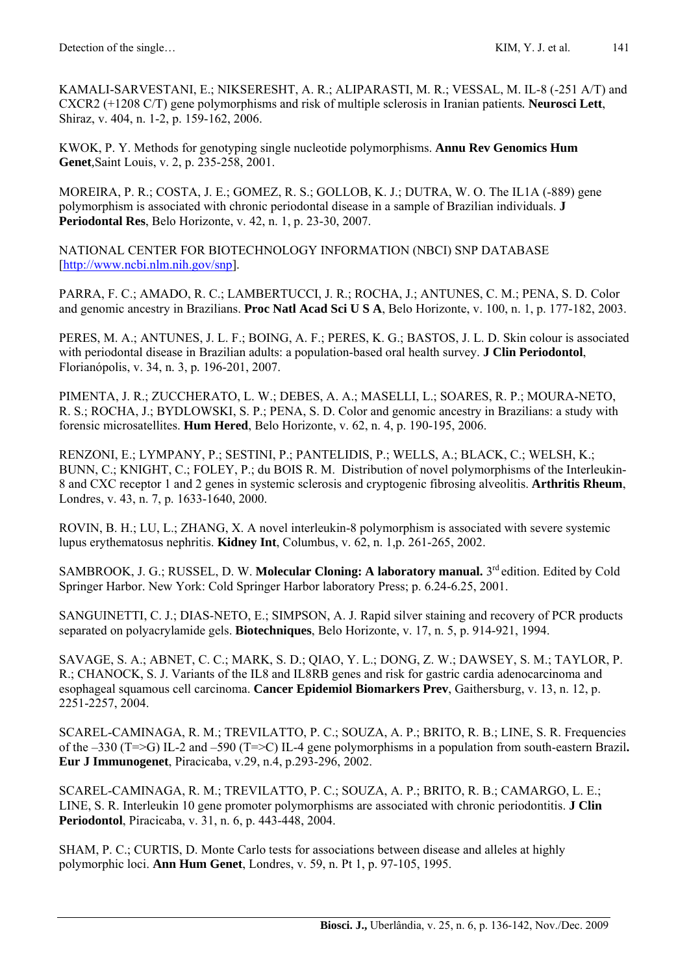KAMALI-SARVESTANI, E.; NIKSERESHT, A. R.; ALIPARASTI, M. R.; VESSAL, M. IL-8 (-251 A/T) and CXCR2 (+1208 C/T) gene polymorphisms and risk of multiple sclerosis in Iranian patients*.* **Neurosci Lett**, Shiraz, v. 404, n. 1-2, p. 159-162, 2006.

KWOK, P. Y. Methods for genotyping single nucleotide polymorphisms. **Annu Rev Genomics Hum Genet***,*Saint Louis, v. 2, p. 235-258, 2001.

MOREIRA, P. R.; COSTA, J. E.; GOMEZ, R. S.; GOLLOB, K. J.; DUTRA, W. O. The IL1A (-889) gene polymorphism is associated with chronic periodontal disease in a sample of Brazilian individuals. **J Periodontal Res**, Belo Horizonte, v. 42, n. 1, p. 23-30, 2007.

NATIONAL CENTER FOR BIOTECHNOLOGY INFORMATION (NBCI) SNP DATABASE [[http://www.ncbi.nlm.nih.gov/snp\]](http://www.ncbi.nlm.nih.gov/snp).

PARRA, F. C.; AMADO, R. C.; LAMBERTUCCI, J. R.; ROCHA, J.; ANTUNES, C. M.; PENA, S. D. Color and genomic ancestry in Brazilians. **Proc Natl Acad Sci U S A**, Belo Horizonte, v. 100, n. 1, p. 177-182, 2003.

PERES, M. A.; ANTUNES, J. L. F.; BOING, A. F.; PERES, K. G.; BASTOS, J. L. D. Skin colour is associated with periodontal disease in Brazilian adults: a population-based oral health survey. **J Clin Periodontol**, Florianópolis, v. 34, n. 3, p*.* 196-201, 2007.

PIMENTA, J. R.; ZUCCHERATO, L. W.; DEBES, A. A.; MASELLI, L.; SOARES, R. P.; MOURA-NETO, R. S.; ROCHA, J.; BYDLOWSKI, S. P.; PENA, S. D. Color and genomic ancestry in Brazilians: a study with forensic microsatellites. **Hum Hered**, Belo Horizonte, v. 62, n. 4, p. 190-195, 2006.

RENZONI, E.; LYMPANY, P.; SESTINI, P.; PANTELIDIS, P.; WELLS, A.; BLACK, C.; WELSH, K.; BUNN, C.; KNIGHT, C.; FOLEY, P.; du BOIS R. M. Distribution of novel polymorphisms of the Interleukin-8 and CXC receptor 1 and 2 genes in systemic sclerosis and cryptogenic fibrosing alveolitis. **Arthritis Rheum**, Londres, v. 43, n. 7, p. 1633-1640, 2000.

ROVIN, B. H.; LU, L.; ZHANG, X. A novel interleukin-8 polymorphism is associated with severe systemic lupus erythematosus nephritis. **Kidney Int**, Columbus, v. 62, n. 1,p. 261-265, 2002.

SAMBROOK, J. G.; RUSSEL, D. W. **Molecular Cloning: A laboratory manual.** 3<sup>rd</sup> edition. Edited by Cold Springer Harbor. New York: Cold Springer Harbor laboratory Press; p. 6.24-6.25, 2001.

SANGUINETTI, C. J.; DIAS-NETO, E.; SIMPSON, A. J. Rapid silver staining and recovery of PCR products separated on polyacrylamide gels. **Biotechniques**, Belo Horizonte, v. 17, n. 5, p. 914-921, 1994.

SAVAGE, S. A.; ABNET, C. C.; MARK, S. D.; QIAO, Y. L.; DONG, Z. W.; DAWSEY, S. M.; TAYLOR, P. R.; CHANOCK, S. J. Variants of the IL8 and IL8RB genes and risk for gastric cardia adenocarcinoma and esophageal squamous cell carcinoma. **Cancer Epidemiol Biomarkers Prev**, Gaithersburg, v. 13, n. 12, p. 2251-2257, 2004.

SCAREL-CAMINAGA, R. M.; TREVILATTO, P. C.; SOUZA, A. P.; BRITO, R. B.; LINE, S. R. Frequencies of the –330 (T=>G) IL-2 and –590 (T=>C) IL-4 gene polymorphisms in a population from south-eastern Brazil**. Eur J Immunogenet**, Piracicaba, v.29, n.4, p.293-296, 2002.

SCAREL-CAMINAGA, R. M.; TREVILATTO, P. C.; SOUZA, A. P.; BRITO, R. B.; CAMARGO, L. E.; LINE, S. R. Interleukin 10 gene promoter polymorphisms are associated with chronic periodontitis. **J Clin Periodontol**, Piracicaba, v. 31, n. 6, p. 443-448, 2004.

SHAM, P. C.; CURTIS, D. Monte Carlo tests for associations between disease and alleles at highly polymorphic loci. **Ann Hum Genet**, Londres, v. 59, n. Pt 1, p. 97-105, 1995.